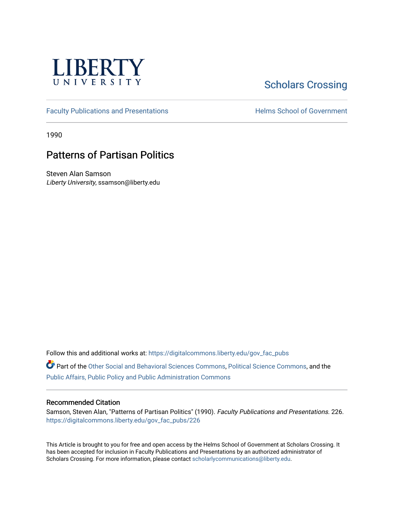

# **Scholars Crossing**

[Faculty Publications and Presentations](https://digitalcommons.liberty.edu/gov_fac_pubs) **Exercise School of Government** 

1990

## Patterns of Partisan Politics

Steven Alan Samson Liberty University, ssamson@liberty.edu

Follow this and additional works at: [https://digitalcommons.liberty.edu/gov\\_fac\\_pubs](https://digitalcommons.liberty.edu/gov_fac_pubs?utm_source=digitalcommons.liberty.edu%2Fgov_fac_pubs%2F226&utm_medium=PDF&utm_campaign=PDFCoverPages)

Part of the [Other Social and Behavioral Sciences Commons](http://network.bepress.com/hgg/discipline/437?utm_source=digitalcommons.liberty.edu%2Fgov_fac_pubs%2F226&utm_medium=PDF&utm_campaign=PDFCoverPages), [Political Science Commons](http://network.bepress.com/hgg/discipline/386?utm_source=digitalcommons.liberty.edu%2Fgov_fac_pubs%2F226&utm_medium=PDF&utm_campaign=PDFCoverPages), and the [Public Affairs, Public Policy and Public Administration Commons](http://network.bepress.com/hgg/discipline/393?utm_source=digitalcommons.liberty.edu%2Fgov_fac_pubs%2F226&utm_medium=PDF&utm_campaign=PDFCoverPages)

### Recommended Citation

Samson, Steven Alan, "Patterns of Partisan Politics" (1990). Faculty Publications and Presentations. 226. [https://digitalcommons.liberty.edu/gov\\_fac\\_pubs/226](https://digitalcommons.liberty.edu/gov_fac_pubs/226?utm_source=digitalcommons.liberty.edu%2Fgov_fac_pubs%2F226&utm_medium=PDF&utm_campaign=PDFCoverPages)

This Article is brought to you for free and open access by the Helms School of Government at Scholars Crossing. It has been accepted for inclusion in Faculty Publications and Presentations by an authorized administrator of Scholars Crossing. For more information, please contact [scholarlycommunications@liberty.edu.](mailto:scholarlycommunications@liberty.edu)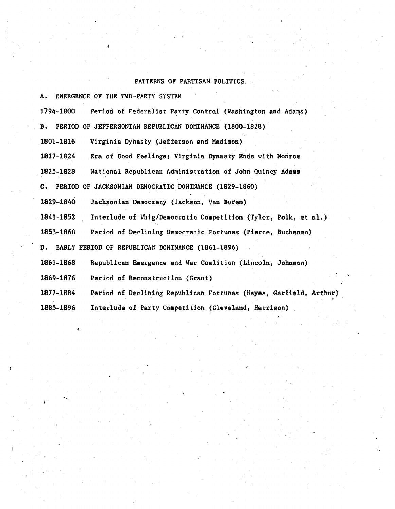#### PATTERNS OF PARTISAN POLITICS

A. EMERGENCE OF THE TVO-PARTY SYSTEM

1794-1800 Period of Federalist Party Control (Washington and Adams)

B. PERIOD OF JEFFERSONIAN REPUBLICAN DOMINANCE (1800-1828)

1801-1816 Virginia Dynasty (Jefferson and Madison)

1817-1824 Era of Good Feelings; Virginia Dynasty Ends with Monroe

1825-1828 National Republican Administration of John Quincy Adams

C. PERIOD OF JACKSONIAN DEMOCRATIC DOMINANCE (1829-1860)

1829-1840 Jacksonian Democracy (Jackson, Van Buren)

1841-1852 Interlude of Vhig/Democratic Competition (Tyler, Polk, et a1.)

1853-1860 Period of Declining Democratic Fortunes (Pierce, Buchanan)

D. EARLY PERIOD OF REPUBLICAN DOMINANCE (1861-1896)

Republican Emergence and War Coalition (Lincoln, Johnson) 1861-1868

Period of Reconstruction (Grant) 1869-1876

•

1877-1884 Period of Declining Republican Fortunes (Hayes, Garfield, Arthur)

1885-1896 Interlude of Party Competition (Cleveland, Harrison)